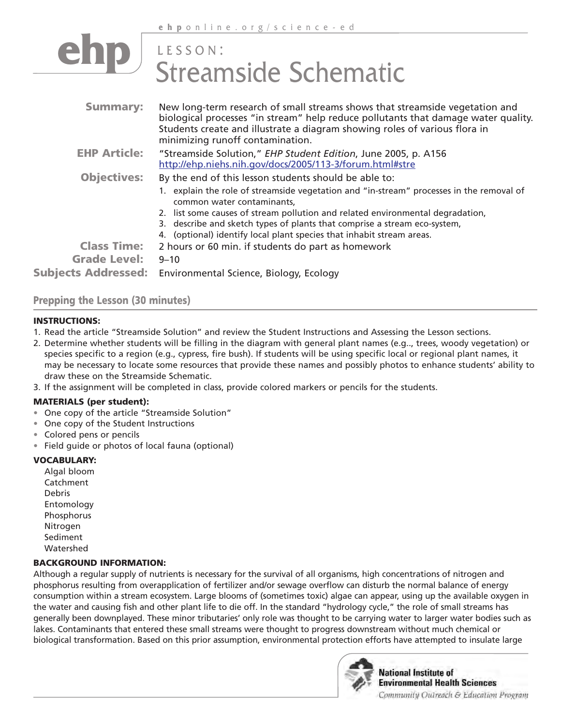## **p** LESSON: Streamside Schematic

| <b>Summary:</b>                           | New long-term research of small streams shows that streamside vegetation and<br>biological processes "in stream" help reduce pollutants that damage water quality.<br>Students create and illustrate a diagram showing roles of various flora in<br>minimizing runoff contamination.                                                                                                                                    |
|-------------------------------------------|-------------------------------------------------------------------------------------------------------------------------------------------------------------------------------------------------------------------------------------------------------------------------------------------------------------------------------------------------------------------------------------------------------------------------|
| <b>EHP Article:</b>                       | "Streamside Solution," EHP Student Edition, June 2005, p. A156<br>http://ehp.niehs.nih.gov/docs/2005/113-3/forum.html#stre                                                                                                                                                                                                                                                                                              |
| <b>Objectives:</b>                        | By the end of this lesson students should be able to:<br>1. explain the role of streamside vegetation and "in-stream" processes in the removal of<br>common water contaminants.<br>2. list some causes of stream pollution and related environmental degradation,<br>3. describe and sketch types of plants that comprise a stream eco-system,<br>4. (optional) identify local plant species that inhabit stream areas. |
| <b>Class Time:</b><br><b>Grade Level:</b> | 2 hours or 60 min. if students do part as homework<br>$9 - 10$                                                                                                                                                                                                                                                                                                                                                          |
| <b>Subjects Addressed:</b>                | Environmental Science, Biology, Ecology                                                                                                                                                                                                                                                                                                                                                                                 |

#### **Prepping the Lesson (30 minutes)**

#### **INSTRUCTIONS:**

- 1. Read the article "Streamside Solution" and review the Student Instructions and Assessing the Lesson sections.
- 2. Determine whether students will be filling in the diagram with general plant names (e.g.., trees, woody vegetation) or species specific to a region (e.g., cypress, fire bush). If students will be using specific local or regional plant names, it may be necessary to locate some resources that provide these names and possibly photos to enhance students' ability to draw these on the Streamside Schematic.
- 3. If the assignment will be completed in class, provide colored markers or pencils for the students.

#### **MATERIALS (per student):**

- One copy of the article "Streamside Solution"
- One copy of the Student Instructions
- Colored pens or pencils
- Field guide or photos of local fauna (optional)

#### **VOCABULARY:**

Algal bloom Catchment Debris Entomology Phosphorus Nitrogen Sediment Watershed

#### **BACKGROUND INFORMATION:**

Although a regular supply of nutrients is necessary for the survival of all organisms, high concentrations of nitrogen and phosphorus resulting from overapplication of fertilizer and/or sewage overflow can disturb the normal balance of energy consumption within a stream ecosystem. Large blooms of (sometimes toxic) algae can appear, using up the available oxygen in the water and causing fish and other plant life to die off. In the standard "hydrology cycle," the role of small streams has generally been downplayed. These minor tributaries' only role was thought to be carrying water to larger water bodies such as lakes. Contaminants that entered these small streams were thought to progress downstream without much chemical or biological transformation. Based on this prior assumption, environmental protection efforts have attempted to insulate large



**National Institute of Environmental Health Sciences** Community Outreach & Education Program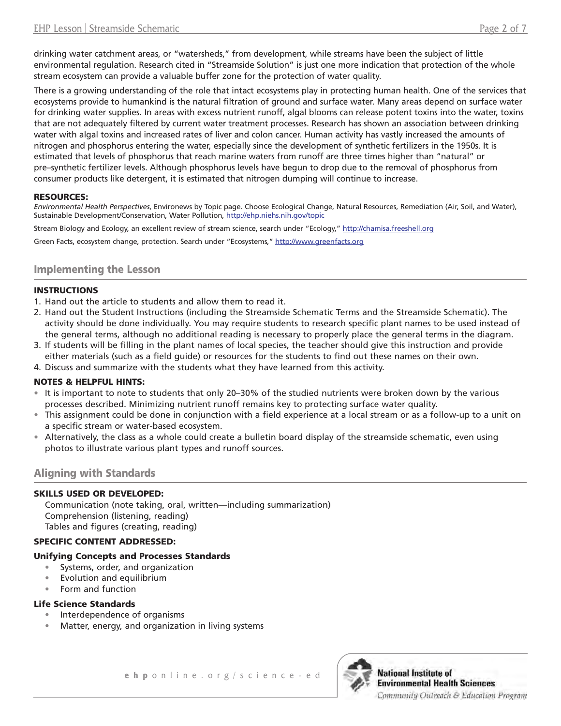drinking water catchment areas, or "watersheds," from development, while streams have been the subject of little environmental regulation. Research cited in "Streamside Solution" is just one more indication that protection of the whole stream ecosystem can provide a valuable buffer zone for the protection of water quality.

There is a growing understanding of the role that intact ecosystems play in protecting human health. One of the services that ecosystems provide to humankind is the natural filtration of ground and surface water. Many areas depend on surface water for drinking water supplies. In areas with excess nutrient runoff, algal blooms can release potent toxins into the water, toxins that are not adequately filtered by current water treatment processes. Research has shown an association between drinking water with algal toxins and increased rates of liver and colon cancer. Human activity has vastly increased the amounts of nitrogen and phosphorus entering the water, especially since the development of synthetic fertilizers in the 1950s. It is estimated that levels of phosphorus that reach marine waters from runoff are three times higher than "natural" or pre–synthetic fertilizer levels. Although phosphorus levels have begun to drop due to the removal of phosphorus from consumer products like detergent, it is estimated that nitrogen dumping will continue to increase.

#### **RESOURCES:**

*Environmental Health Perspectives*, Environews by Topic page. Choose Ecological Change, Natural Resources, Remediation (Air, Soil, and Water), Sustainable Development/Conservation, Water Pollution, <http://ehp.niehs.nih.gov/topic>

Stream Biology and Ecology, an excellent review of stream science, search under "Ecology,"<http://chamisa.freeshell.org>

Green Facts, ecosystem change, protection. Search under "Ecosystems," <http://www.greenfacts.org>

#### **Implementing the Lesson**

#### **INSTRUCTIONS**

- 1. Hand out the article to students and allow them to read it.
- 2. Hand out the Student Instructions (including the Streamside Schematic Terms and the Streamside Schematic). The activity should be done individually. You may require students to research specific plant names to be used instead of the general terms, although no additional reading is necessary to properly place the general terms in the diagram.
- 3. If students will be filling in the plant names of local species, the teacher should give this instruction and provide either materials (such as a field guide) or resources for the students to find out these names on their own.
- 4. Discuss and summarize with the students what they have learned from this activity.

#### **NOTES & HELPFUL HINTS:**

- • It is important to note to students that only 20–30% of the studied nutrients were broken down by the various processes described. Minimizing nutrient runoff remains key to protecting surface water quality.
- This assignment could be done in conjunction with a field experience at a local stream or as a follow-up to a unit on a specific stream or water-based ecosystem.
- • Alternatively, the class as a whole could create a bulletin board display of the streamside schematic, even using photos to illustrate various plant types and runoff sources.

#### **Aligning with Standards**

#### **SKILLS USED OR DEVELOPED:**

Communication (note taking, oral, written—including summarization) Comprehension (listening, reading) Tables and figures (creating, reading)

#### **SPECIFIC CONTENT ADDRESSED:**

#### **Unifying Concepts and Processes Standards**

- Systems, order, and organization
- Evolution and equilibrium
- Form and function

#### **Life Science Standards**

- Interdependence of organisms
- Matter, energy, and organization in living systems

**ehp** online.org/science-ed

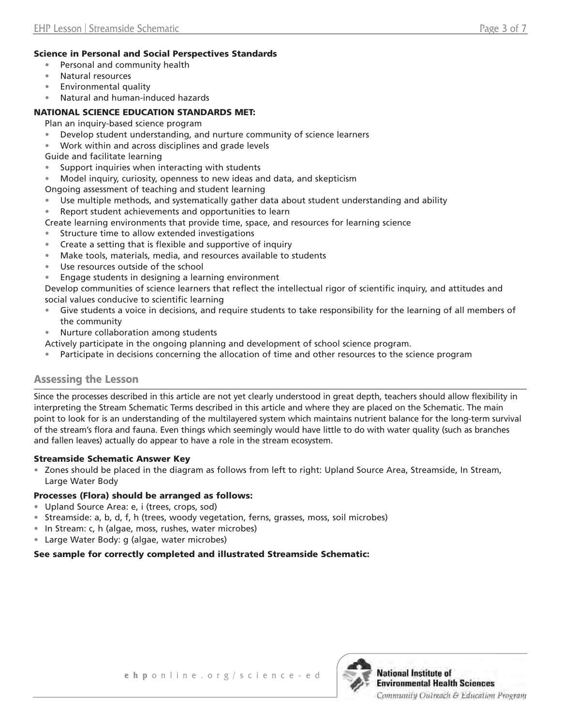#### **Science in Personal and Social Perspectives Standards**

- • Personal and community health
- Natural resources
- **Environmental quality**
- Natural and human-induced hazards

#### **NATIONAL SCIENCE EDUCATION STANDARDS MET:**

Plan an inquiry-based science program

- Develop student understanding, and nurture community of science learners
- Work within and across disciplines and grade levels

Guide and facilitate learning

- Support inquiries when interacting with students
- Model inquiry, curiosity, openness to new ideas and data, and skepticism

Ongoing assessment of teaching and student learning

- Use multiple methods, and systematically gather data about student understanding and ability
- Report student achievements and opportunities to learn
- Create learning environments that provide time, space, and resources for learning science
- Structure time to allow extended investigations
- Create a setting that is flexible and supportive of inquiry
- Make tools, materials, media, and resources available to students
- Use resources outside of the school
- Engage students in designing a learning environment

Develop communities of science learners that reflect the intellectual rigor of scientific inquiry, and attitudes and social values conducive to scientific learning

- Give students a voice in decisions, and require students to take responsibility for the learning of all members of the community
- Nurture collaboration among students
- Actively participate in the ongoing planning and development of school science program.
- Participate in decisions concerning the allocation of time and other resources to the science program

#### **Assessing the Lesson**

Since the processes described in this article are not yet clearly understood in great depth, teachers should allow flexibility in interpreting the Stream Schematic Terms described in this article and where they are placed on the Schematic. The main point to look for is an understanding of the multilayered system which maintains nutrient balance for the long-term survival of the stream's flora and fauna. Even things which seemingly would have little to do with water quality (such as branches and fallen leaves) actually do appear to have a role in the stream ecosystem.

#### **Streamside Schematic Answer Key**

• Zones should be placed in the diagram as follows from left to right: Upland Source Area, Streamside, In Stream, Large Water Body

#### **Processes (Flora) should be arranged as follows:**

- • Upland Source Area: e, i (trees, crops, sod)
- Streamside: a, b, d, f, h (trees, woody vegetation, ferns, grasses, moss, soil microbes)
- In Stream: c, h (algae, moss, rushes, water microbes)
- • Large Water Body: g (algae, water microbes)

#### **See sample for correctly completed and illustrated Streamside Schematic:**

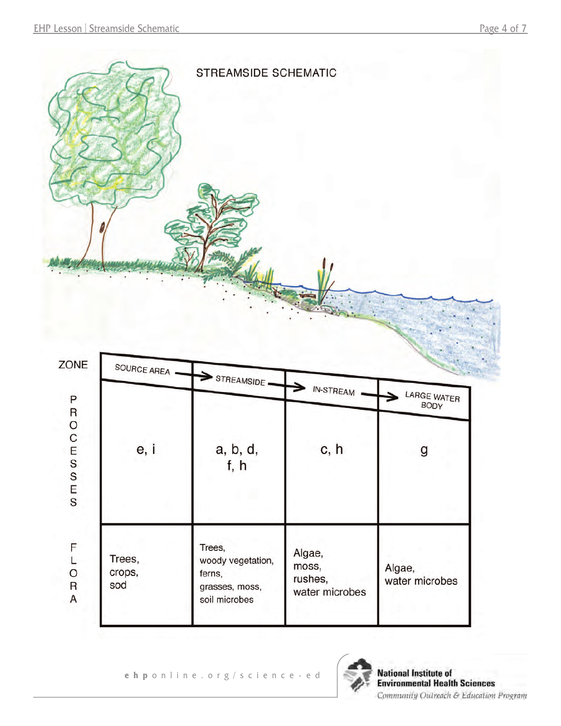

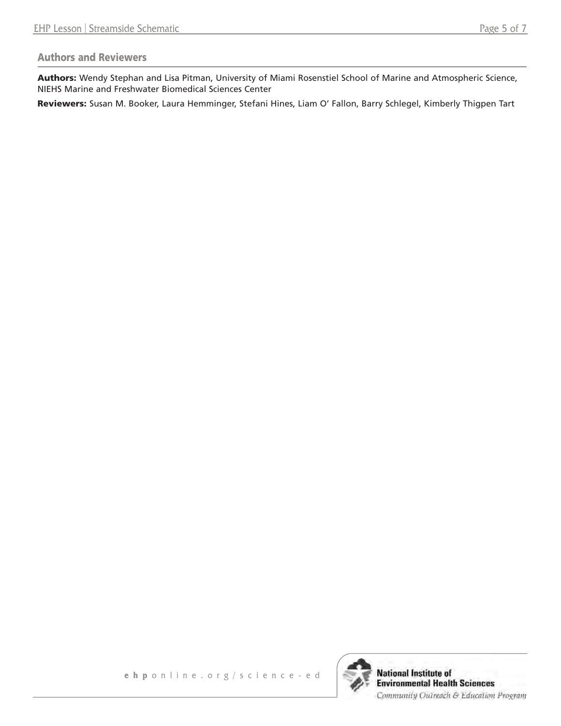#### **Authors and Reviewers**

**Authors:** Wendy Stephan and Lisa Pitman, University of Miami Rosenstiel School of Marine and Atmospheric Science, NIEHS Marine and Freshwater Biomedical Sciences Center

**Reviewers:** Susan M. Booker, Laura Hemminger, Stefani Hines, Liam O' Fallon, Barry Schlegel, Kimberly Thigpen Tart

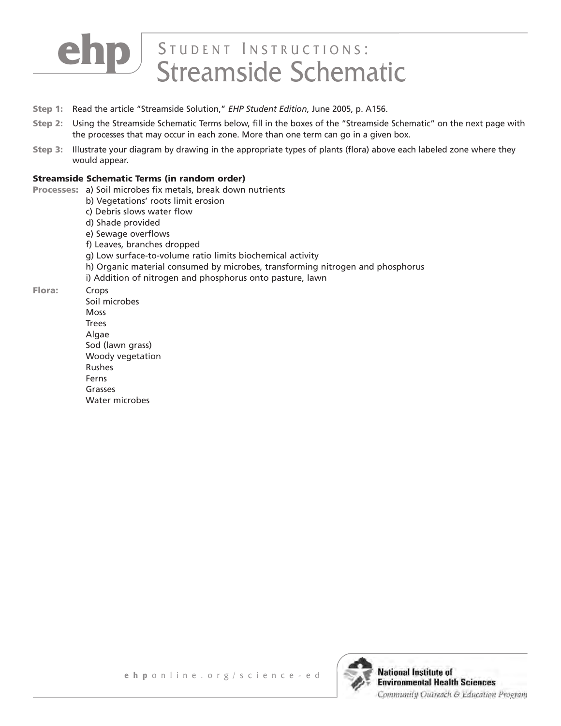# **D** STUDENT INSTRUCTIONS:

- **Step 1:** Read the article "Streamside Solution," *EHP Student Edition*, June 2005, p. A156.
- **Step 2:** Using the Streamside Schematic Terms below, fill in the boxes of the "Streamside Schematic" on the next page with the processes that may occur in each zone. More than one term can go in a given box.
- **Step 3:** Illustrate your diagram by drawing in the appropriate types of plants (flora) above each labeled zone where they would appear.

#### **Streamside Schematic Terms (in random order)**

- Processes: a) Soil microbes fix metals, break down nutrients
	- b) Vegetations' roots limit erosion
	- c) Debris slows water flow
	- d) Shade provided
	- e) Sewage overflows
	- f) Leaves, branches dropped
	- g) Low surface-to-volume ratio limits biochemical activity
	- h) Organic material consumed by microbes, transforming nitrogen and phosphorus
	- i) Addition of nitrogen and phosphorus onto pasture, lawn
- **Flora:** Crops
	- Soil microbes Moss Trees Algae Sod (lawn grass) Woody vegetation Rushes Ferns Grasses Water microbes